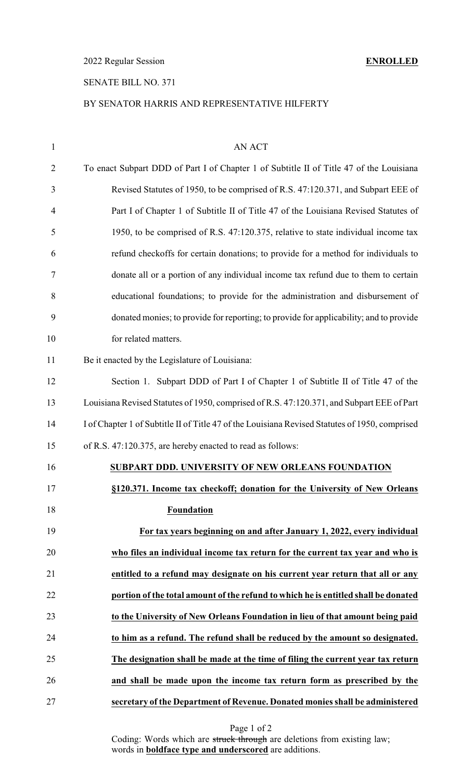2022 Regular Session **ENROLLED**

## SENATE BILL NO. 371

#### BY SENATOR HARRIS AND REPRESENTATIVE HILFERTY

| 1              | <b>AN ACT</b>                                                                                  |
|----------------|------------------------------------------------------------------------------------------------|
| $\overline{2}$ | To enact Subpart DDD of Part I of Chapter 1 of Subtitle II of Title 47 of the Louisiana        |
| 3              | Revised Statutes of 1950, to be comprised of R.S. 47:120.371, and Subpart EEE of               |
| $\overline{4}$ | Part I of Chapter 1 of Subtitle II of Title 47 of the Louisiana Revised Statutes of            |
| 5              | 1950, to be comprised of R.S. 47:120.375, relative to state individual income tax              |
| 6              | refund checkoffs for certain donations; to provide for a method for individuals to             |
| 7              | donate all or a portion of any individual income tax refund due to them to certain             |
| 8              | educational foundations; to provide for the administration and disbursement of                 |
| 9              | donated monies; to provide for reporting; to provide for applicability; and to provide         |
| 10             | for related matters.                                                                           |
| 11             | Be it enacted by the Legislature of Louisiana:                                                 |
| 12             | Section 1. Subpart DDD of Part I of Chapter 1 of Subtitle II of Title 47 of the                |
| 13             | Louisiana Revised Statutes of 1950, comprised of R.S. 47:120.371, and Subpart EEE of Part      |
| 14             | I of Chapter 1 of Subtitle II of Title 47 of the Louisiana Revised Statutes of 1950, comprised |
| 15             | of R.S. 47:120.375, are hereby enacted to read as follows:                                     |
| 16             | SUBPART DDD. UNIVERSITY OF NEW ORLEANS FOUNDATION                                              |
| 17             | §120.371. Income tax checkoff; donation for the University of New Orleans                      |
| 18             | Foundation                                                                                     |
| 19             | For tax years beginning on and after January 1, 2022, every individual                         |
| 20             | who files an individual income tax return for the current tax year and who is                  |
| 21             | entitled to a refund may designate on his current year return that all or any                  |
| 22             | portion of the total amount of the refund to which he is entitled shall be donated             |
| 23             | to the University of New Orleans Foundation in lieu of that amount being paid                  |
| 24             | to him as a refund. The refund shall be reduced by the amount so designated.                   |
| 25             | The designation shall be made at the time of filing the current year tax return                |
| 26             | and shall be made upon the income tax return form as prescribed by the                         |
| 27             | secretary of the Department of Revenue. Donated monies shall be administered                   |

Coding: Words which are struck through are deletions from existing law; words in **boldface type and underscored** are additions.